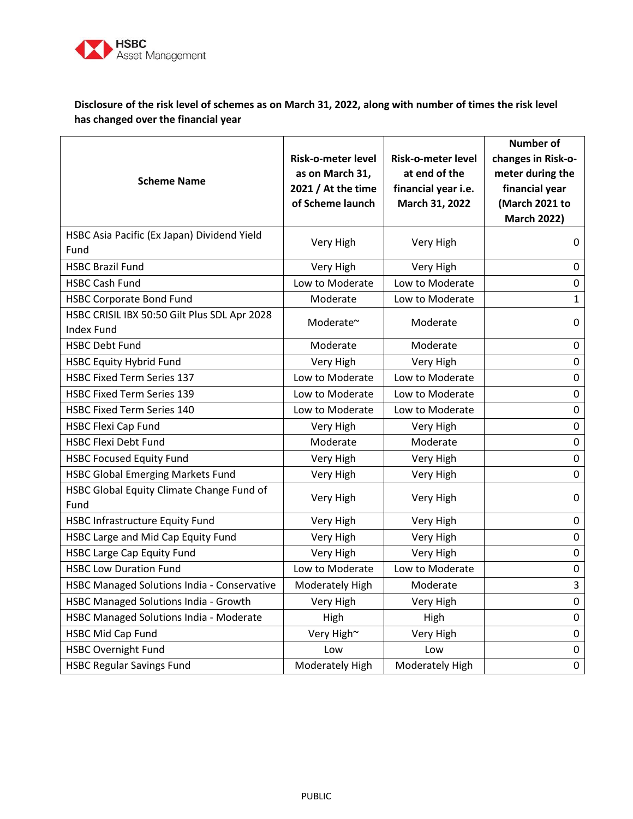

## **Disclosure of the risk level of schemes as on March 31, 2022, along with number of times the risk level has changed over the financial year**

| <b>Scheme Name</b>                                                | <b>Risk-o-meter level</b><br>as on March 31,<br>2021 / At the time<br>of Scheme launch | <b>Risk-o-meter level</b><br>at end of the<br>financial year i.e.<br>March 31, 2022 | <b>Number of</b><br>changes in Risk-o-<br>meter during the<br>financial year<br>(March 2021 to<br><b>March 2022)</b> |
|-------------------------------------------------------------------|----------------------------------------------------------------------------------------|-------------------------------------------------------------------------------------|----------------------------------------------------------------------------------------------------------------------|
| HSBC Asia Pacific (Ex Japan) Dividend Yield<br>Fund               | Very High                                                                              | Very High                                                                           | 0                                                                                                                    |
| <b>HSBC Brazil Fund</b>                                           | Very High                                                                              | Very High                                                                           | 0                                                                                                                    |
| <b>HSBC Cash Fund</b>                                             | Low to Moderate                                                                        | Low to Moderate                                                                     | 0                                                                                                                    |
| <b>HSBC Corporate Bond Fund</b>                                   | Moderate                                                                               | Low to Moderate                                                                     | $\mathbf{1}$                                                                                                         |
| HSBC CRISIL IBX 50:50 Gilt Plus SDL Apr 2028<br><b>Index Fund</b> | Moderate~                                                                              | Moderate                                                                            | 0                                                                                                                    |
| <b>HSBC Debt Fund</b>                                             | Moderate                                                                               | Moderate                                                                            | 0                                                                                                                    |
| <b>HSBC Equity Hybrid Fund</b>                                    | Very High                                                                              | Very High                                                                           | $\pmb{0}$                                                                                                            |
| <b>HSBC Fixed Term Series 137</b>                                 | Low to Moderate                                                                        | Low to Moderate                                                                     | $\pmb{0}$                                                                                                            |
| <b>HSBC Fixed Term Series 139</b>                                 | Low to Moderate                                                                        | Low to Moderate                                                                     | $\pmb{0}$                                                                                                            |
| <b>HSBC Fixed Term Series 140</b>                                 | Low to Moderate                                                                        | Low to Moderate                                                                     | 0                                                                                                                    |
| <b>HSBC Flexi Cap Fund</b>                                        | Very High                                                                              | Very High                                                                           | $\mathbf 0$                                                                                                          |
| <b>HSBC Flexi Debt Fund</b>                                       | Moderate                                                                               | Moderate                                                                            | 0                                                                                                                    |
| <b>HSBC Focused Equity Fund</b>                                   | Very High                                                                              | Very High                                                                           | 0                                                                                                                    |
| <b>HSBC Global Emerging Markets Fund</b>                          | Very High                                                                              | Very High                                                                           | 0                                                                                                                    |
| HSBC Global Equity Climate Change Fund of<br>Fund                 | Very High                                                                              | Very High                                                                           | 0                                                                                                                    |
| <b>HSBC Infrastructure Equity Fund</b>                            | Very High                                                                              | Very High                                                                           | 0                                                                                                                    |
| HSBC Large and Mid Cap Equity Fund                                | Very High                                                                              | Very High                                                                           | $\pmb{0}$                                                                                                            |
| <b>HSBC Large Cap Equity Fund</b>                                 | Very High                                                                              | Very High                                                                           | $\pmb{0}$                                                                                                            |
| <b>HSBC Low Duration Fund</b>                                     | Low to Moderate                                                                        | Low to Moderate                                                                     | 0                                                                                                                    |
| HSBC Managed Solutions India - Conservative                       | Moderately High                                                                        | Moderate                                                                            | 3                                                                                                                    |
| HSBC Managed Solutions India - Growth                             | Very High                                                                              | Very High                                                                           | 0                                                                                                                    |
| HSBC Managed Solutions India - Moderate                           | High                                                                                   | High                                                                                | 0                                                                                                                    |
| <b>HSBC Mid Cap Fund</b>                                          | Very High~                                                                             | Very High                                                                           | $\pmb{0}$                                                                                                            |
| <b>HSBC Overnight Fund</b>                                        | Low                                                                                    | Low                                                                                 | 0                                                                                                                    |
| <b>HSBC Regular Savings Fund</b>                                  | Moderately High                                                                        | Moderately High                                                                     | 0                                                                                                                    |